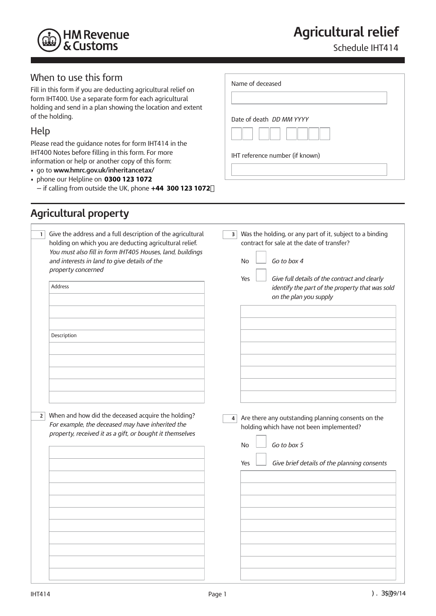

# **Agricultural relief**

Name of deceased

Date of death *DD MM YYYY* 

IHT reference number (if known)

Schedule IHT414

#### When to use this form

Fill in this form if you are deducting agricultural relief on form IHT400. Use a separate form for each agricultural holding and send in a plan showing the location and extent of the holding.

#### Help

Please read the guidance notes for form IHT414 in the IHT400 Notes before filling in this form. For more information or help or another copy of this form:

- go to **www.hmrc.gov.uk/inheritancetax/**
- phone our Helpline on **0300 123 1072** — if calling from outside the UK, phone **+44 300 123 1072**

# **Agricultural property**

| 1 | Give the address and a full description of the agricultural<br>holding on which you are deducting agricultural relief.<br>You must also fill in form IHT405 Houses, land, buildings<br>and interests in land to give details of the<br>property concerned<br><b>Address</b> | $\overline{\mathbf{3}}$ | Was the holding, or any part of it, subject to a binding<br>contract for sale at the date of transfer?<br>Go to box 4<br><b>No</b><br>Give full details of the contract and clearly<br>Yes<br>identify the part of the property that was sold<br>on the plan you supply |
|---|-----------------------------------------------------------------------------------------------------------------------------------------------------------------------------------------------------------------------------------------------------------------------------|-------------------------|-------------------------------------------------------------------------------------------------------------------------------------------------------------------------------------------------------------------------------------------------------------------------|
|   | Description                                                                                                                                                                                                                                                                 |                         |                                                                                                                                                                                                                                                                         |
| 2 | When and how did the deceased acquire the holding?<br>For example, the deceased may have inherited the<br>property, received it as a gift, or bought it themselves                                                                                                          | 4                       | Are there any outstanding planning consents on the<br>holding which have not been implemented?<br>Go to box 5<br><b>No</b><br>Give brief details of the planning consents<br>Yes                                                                                        |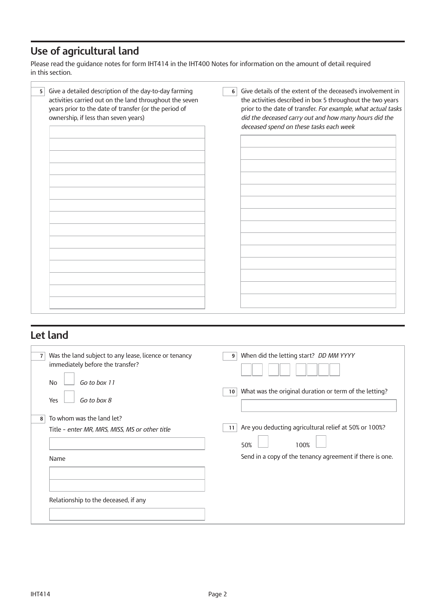# **Use of agricultural land**

Please read the guidance notes for form IHT414 in the IHT400 Notes for information on the amount of detail required in this section.

| Give a detailed description of the day-to-day farming<br>5<br>activities carried out on the land throughout the seven<br>years prior to the date of transfer (or the period of<br>ownership, if less than seven years) | Give details of the extent of the deceased's involvement in<br>6<br>the activities described in box 5 throughout the two years<br>prior to the date of transfer. For example, what actual tasks<br>did the deceased carry out and how many hours did the<br>deceased spend on these tasks each week |
|------------------------------------------------------------------------------------------------------------------------------------------------------------------------------------------------------------------------|-----------------------------------------------------------------------------------------------------------------------------------------------------------------------------------------------------------------------------------------------------------------------------------------------------|
|                                                                                                                                                                                                                        |                                                                                                                                                                                                                                                                                                     |

#### **Let land**

| Was the land subject to any lease, licence or tenancy<br>$\overline{7}$<br>immediately before the transfer?<br>Go to box 11<br><b>No</b> | When did the letting start? DD MM YYYY<br>9                               |
|------------------------------------------------------------------------------------------------------------------------------------------|---------------------------------------------------------------------------|
| Go to box 8<br>Yes                                                                                                                       | What was the original duration or term of the letting?<br>10 <sup>1</sup> |
| To whom was the land let?<br>8                                                                                                           |                                                                           |
| Title - enter MR, MRS, MISS, MS or other title                                                                                           | Are you deducting agricultural relief at 50% or 100%?<br>11               |
|                                                                                                                                          | 50%<br>100%                                                               |
| Name                                                                                                                                     | Send in a copy of the tenancy agreement if there is one.                  |
|                                                                                                                                          |                                                                           |
|                                                                                                                                          |                                                                           |
| Relationship to the deceased, if any                                                                                                     |                                                                           |
|                                                                                                                                          |                                                                           |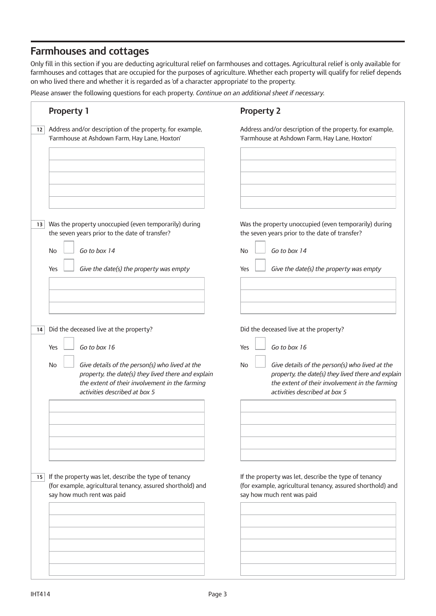#### **Farmhouses and cottages**

Only fill in this section if you are deducting agricultural relief on farmhouses and cottages. Agricultural relief is only available for farmhouses and cottages that are occupied for the purposes of agriculture. Whether each property will qualify for relief depends on who lived there and whether it is regarded as 'of a character appropriate' to the property.

Please answer the following questions for each property. *Continue on an additional sheet if necessary*.

| <b>Property 2</b>                                                                                                                                                                                                                                                     |
|-----------------------------------------------------------------------------------------------------------------------------------------------------------------------------------------------------------------------------------------------------------------------|
| Address and/or description of the property, for example,<br>'Farmhouse at Ashdown Farm, Hay Lane, Hoxton'                                                                                                                                                             |
| Was the property unoccupied (even temporarily) during<br>the seven years prior to the date of transfer?                                                                                                                                                               |
| Go to box 14<br>No<br>Give the date(s) the property was empty<br>Yes                                                                                                                                                                                                  |
| Did the deceased live at the property?<br>Go to box 16<br>Yes<br>Give details of the person(s) who lived at the<br><b>No</b><br>property, the date(s) they lived there and explain<br>the extent of their involvement in the farming<br>activities described at box 5 |
| If the property was let, describe the type of tenancy<br>(for example, agricultural tenancy, assured shorthold) and<br>say how much rent was paid                                                                                                                     |
|                                                                                                                                                                                                                                                                       |